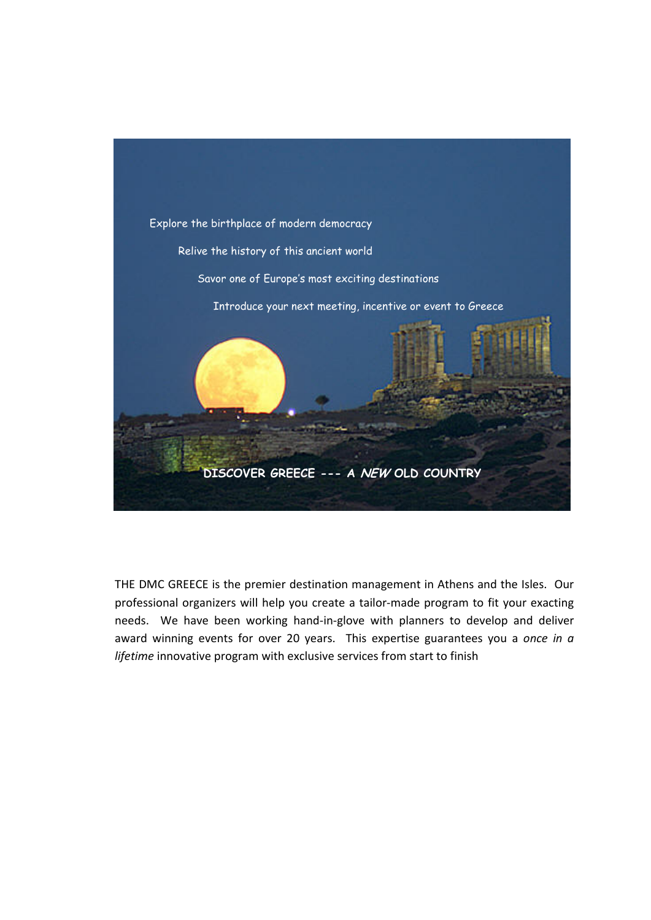

THE DMC GREECE is the premier destination management in Athens and the Isles. Our professional organizers will help you create a tailor‐made program to fit your exacting needs. We have been working hand-in-glove with planners to develop and deliver award winning events for over 20 years. This expertise guarantees you a *once in a lifetime* innovative program with exclusive services from start to finish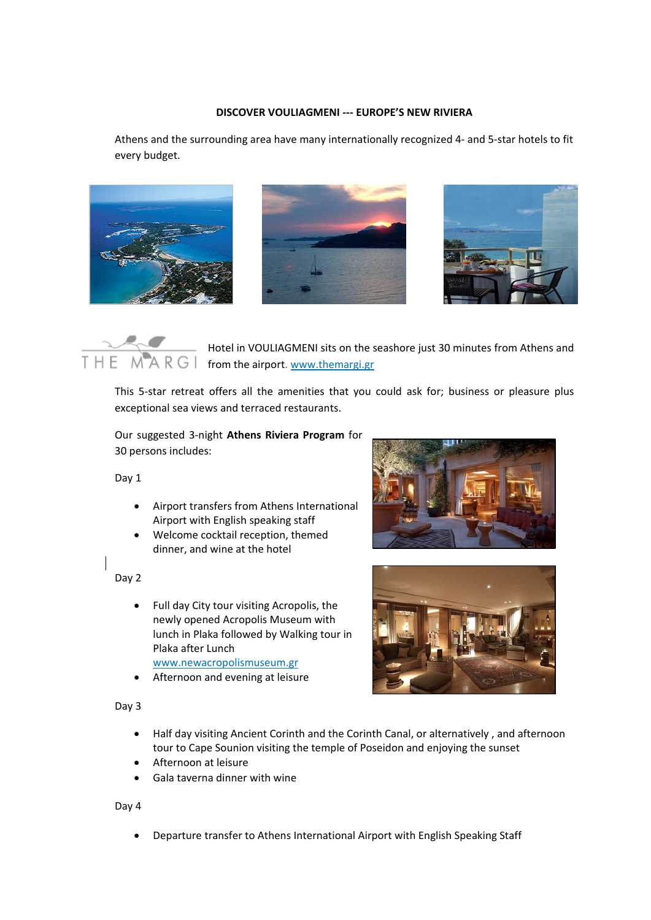## **DISCOVER VOULIAGMENI ‐‐‐ EUROPE'S NEW RIVIERA**

Athens and the surrounding area have many internationally recognized 4‐ and 5‐star hotels to fit every budget.







Hotel in VOULIAGMENI sits on the seashore just 30 minutes from Athens and THE MARGI from the airport. www.themargi.gr

This 5-star retreat offers all the amenities that you could ask for; business or pleasure plus exceptional sea views and terraced restaurants.

Our suggested 3‐night **Athens Riviera Program** for 30 persons includes:

Day 1

- Airport transfers from Athens International Airport with English speaking staff
- Welcome cocktail reception, themed dinner, and wine at the hotel

Day 2

- Full day City tour visiting Acropolis, the newly opened Acropolis Museum with lunch in Plaka followed by Walking tour in Plaka after Lunch www.newacropolismuseum.gr
- Afternoon and evening at leisure

Day 3





- Half day visiting Ancient Corinth and the Corinth Canal, or alternatively , and afternoon tour to Cape Sounion visiting the temple of Poseidon and enjoying the sunset
- Afternoon at leisure
- Gala taverna dinner with wine

Day 4

• Departure transfer to Athens International Airport with English Speaking Staff